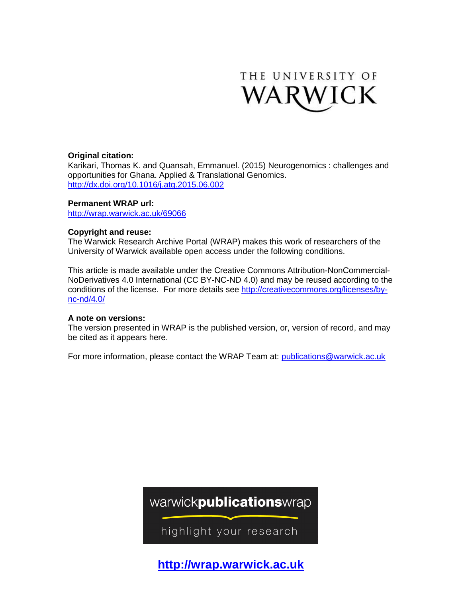

# **Original citation:**

Karikari, Thomas K. and Quansah, Emmanuel. (2015) Neurogenomics : challenges and opportunities for Ghana. Applied & Translational Genomics. <http://dx.doi.org/10.1016/j.atg.2015.06.002>

# **Permanent WRAP url:**

<http://wrap.warwick.ac.uk/69066>

# **Copyright and reuse:**

The Warwick Research Archive Portal (WRAP) makes this work of researchers of the University of Warwick available open access under the following conditions.

This article is made available under the Creative Commons Attribution-NonCommercial-NoDerivatives 4.0 International (CC BY-NC-ND 4.0) and may be reused according to the conditions of the license. For more details see [http://creativecommons.org/licenses/by](http://creativecommons.org/licenses/by-nc-nd/4.0/)[nc-nd/4.0/](http://creativecommons.org/licenses/by-nc-nd/4.0/)

## **A note on versions:**

The version presented in WRAP is the published version, or, version of record, and may be cited as it appears here.

For more information, please contact the WRAP Team at: [publications@warwick.ac.uk](mailto:publications@warwick.ac.uk)

warwickpublicationswrap

highlight your research

**[http://wrap.warwick.ac.uk](http://wrap.warwick.ac.uk/)**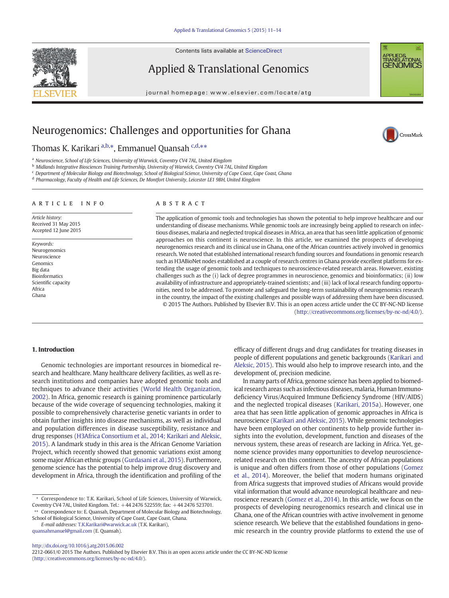Contents lists available at ScienceDirect



Applied & Translational Genomics

journal homepage: www.elsevier.com/locate/atg

# Neurogenomics: Challenges and opportunities for Ghana

# Thomas K. Karikari <sup>a,b,</sup>\*, Emmanuel Quansah <sup>c,d,</sup>\*\*

<sup>a</sup> Neuroscience, School of Life Sciences, University of Warwick, Coventry CV4 7AL, United Kingdom

<sup>b</sup> Midlands Integrative Biosciences Training Partnership, University of Warwick, Coventry CV4 7AL, United Kingdom

<sup>c</sup> Department of Molecular Biology and Biotechnology, School of Biological Science, University of Cape Coast, Cape Coast, Ghana

<sup>d</sup> Pharmacology, Faculty of Health and Life Sciences, De Montfort University, Leicester LE1 9BH, United Kingdom

### article info abstract

Article history: Received 31 May 2015 Accepted 12 June 2015

Keywords: Neurogenomics Neuroscience Genomics Big data Bioinformatics Scientific capacity Africa Ghana

The application of genomic tools and technologies has shown the potential to help improve healthcare and our understanding of disease mechanisms. While genomic tools are increasingly being applied to research on infectious diseases, malaria and neglected tropical diseases in Africa, an area that has seen little application of genomic approaches on this continent is neuroscience. In this article, we examined the prospects of developing neurogenomics research and its clinical use in Ghana, one of the African countries actively involved in genomics research. We noted that established international research funding sources and foundations in genomic research such as H3ABioNet nodes established at a couple of research centres in Ghana provide excellent platforms for extending the usage of genomic tools and techniques to neuroscience-related research areas. However, existing challenges such as the (i) lack of degree programmes in neuroscience, genomics and bioinformatics; (ii) low availability of infrastructure and appropriately-trained scientists; and (iii) lack of local research funding opportunities, need to be addressed. To promote and safeguard the long-term sustainability of neurogenomics research in the country, the impact of the existing challenges and possible ways of addressing them have been discussed. © 2015 The Authors. Published by Elsevier B.V. This is an open access article under the CC BY-NC-ND license ([http://creativecommons.org/licenses/by-nc-nd/4.0/\)](http://creativecommons.org/licenses/by-nc-nd/4.0/).

### 1. Introduction

Genomic technologies are important resources in biomedical research and healthcare. Many healthcare delivery facilities, as well as research institutions and companies have adopted genomic tools and techniques to advance their activities [\(World Health Organization,](#page-4-0) [2002\)](#page-4-0). In Africa, genomic research is gaining prominence particularly because of the wide coverage of sequencing technologies, making it possible to comprehensively characterise genetic variants in order to obtain further insights into disease mechanisms, as well as individual and population differences in disease susceptibility, resistance and drug responses ([H3Africa Consortium et al., 2014; Karikari and Aleksic,](#page-3-0) [2015\)](#page-3-0). A landmark study in this area is the African Genome Variation Project, which recently showed that genomic variations exist among some major African ethnic groups [\(Gurdasani et al., 2015](#page-3-0)). Furthermore, genome science has the potential to help improve drug discovery and development in Africa, through the identification and profiling of the

⁎ Correspondence to: T.K. Karikari, School of Life Sciences, University of Warwick, Coventry CV4 7AL, United Kingdom. Tel.: +44 2476 522559; fax: +44 2476 523701. Correspondence to: E. Quansah, Department of Molecular Biology and Biotechnology,

School of Biological Science, University of Cape Coast, Cape Coast, Ghana. E-mail addresses: T.K.Karikari@warwick.ac.uk (T.K. Karikari),

quansahmanuel@gmail.com (E. Quansah).

efficacy of different drugs and drug candidates for treating diseases in people of different populations and genetic backgrounds ([Karikari and](#page-4-0) [Aleksic, 2015\)](#page-4-0). This would also help to improve research into, and the development of, precision medicine.

CrossMark

In many parts of Africa, genome science has been applied to biomedical research areas such as infectious diseases, malaria, Human Immunodeficiency Virus/Acquired Immune Deficiency Syndrome (HIV/AIDS) and the neglected tropical diseases [\(Karikari, 2015a](#page-4-0)). However, one area that has seen little application of genomic approaches in Africa is neuroscience [\(Karikari and Aleksic, 2015\)](#page-4-0). While genomic technologies have been employed on other continents to help provide further insights into the evolution, development, function and diseases of the nervous system, these areas of research are lacking in Africa. Yet, genome science provides many opportunities to develop neurosciencerelated research on this continent. The ancestry of African populations is unique and often differs from those of other populations ([Gomez](#page-3-0) [et al., 2014\)](#page-3-0). Moreover, the belief that modern humans originated from Africa suggests that improved studies of Africans would provide vital information that would advance neurological healthcare and neuroscience research ([Gomez et al., 2014](#page-3-0)). In this article, we focus on the prospects of developing neurogenomics research and clinical use in Ghana, one of the African countries with active involvement in genome science research. We believe that the established foundations in genomic research in the country provide platforms to extend the use of

<http://dx.doi.org/10.1016/j.atg.2015.06.002> 2212-0661/© 2015 The Authors. Published by Elsevier B.V. This is an open access article under the CC BY-NC-ND license

[\(http://creativecommons.org/licenses/by-nc-nd/4.0/\)](http://creativecommons.org/licenses/by-nc-nd/4.0/).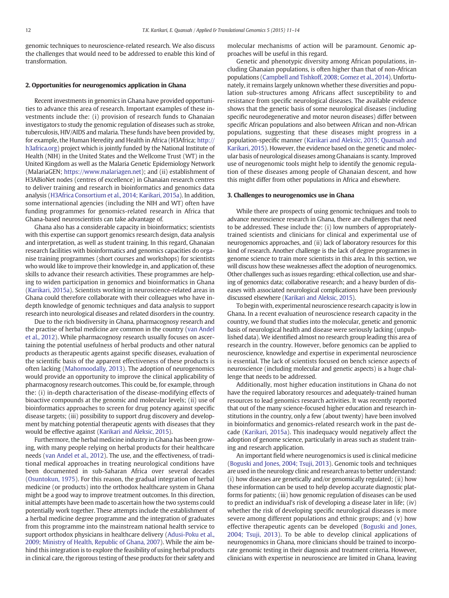genomic techniques to neuroscience-related research. We also discuss the challenges that would need to be addressed to enable this kind of transformation.

### 2. Opportunities for neurogenomics application in Ghana

Recent investments in genomics in Ghana have provided opportunities to advance this area of research. Important examples of these investments include the: (i) provision of research funds to Ghanaian investigators to study the genomic regulation of diseases such as stroke, tuberculosis, HIV/AIDS and malaria. These funds have been provided by, for example, the Human Heredity and Health in Africa (H3Africa; [http://](http://h3africa.org) [h3africa.org\)](http://h3africa.org) project which is jointly funded by the National Institute of Health (NIH) in the United States and the Wellcome Trust (WT) in the United Kingdom as well as the Malaria Genetic Epidemiology Network (MalariaGEN; <https://www.malariagen.net>); and (ii) establishment of H3ABioNet nodes (centres of excellence) in Ghanaian research centres to deliver training and research in bioinformatics and genomics data analysis [\(H3Africa Consortium et al., 2014; Karikari, 2015a\)](#page-3-0). In addition, some international agencies (including the NIH and WT) often have funding programmes for genomics-related research in Africa that Ghana-based neuroscientists can take advantage of.

Ghana also has a considerable capacity in bioinformatics; scientists with this expertise can support genomics research design, data analysis and interpretation, as well as student training. In this regard, Ghanaian research facilities with bioinformatics and genomics capacities do organise training programmes (short courses and workshops) for scientists who would like to improve their knowledge in, and application of, these skills to advance their research activities. These programmes are helping to widen participation in genomics and bioinformatics in Ghana [\(Karikari, 2015a](#page-4-0)). Scientists working in neuroscience-related areas in Ghana could therefore collaborate with their colleagues who have indepth knowledge of genomic techniques and data analysis to support research into neurological diseases and related disorders in the country.

Due to the rich biodiversity in Ghana, pharmacognosy research and the practise of herbal medicine are common in the country ([van Andel](#page-4-0) [et al., 2012\)](#page-4-0). While pharmacognosy research usually focuses on ascertaining the potential usefulness of herbal products and other natural products as therapeutic agents against specific diseases, evaluation of the scientific basis of the apparent effectiveness of these products is often lacking [\(Mahomoodally, 2013\)](#page-4-0). The adoption of neurogenomics would provide an opportunity to improve the clinical applicability of pharmacognosy research outcomes. This could be, for example, through the: (i) in-depth characterisation of the disease-modifying effects of bioactive compounds at the genomic and molecular levels; (ii) use of bioinformatics approaches to screen for drug potency against specific disease targets; (iii) possibility to support drug discovery and development by matching potential therapeutic agents with diseases that they would be effective against [\(Karikari and Aleksic, 2015\)](#page-4-0).

Furthermore, the herbal medicine industry in Ghana has been growing, with many people relying on herbal products for their healthcare needs [\(van Andel et al., 2012\)](#page-4-0). The use, and the effectiveness, of traditional medical approaches in treating neurological conditions have been documented in sub-Saharan Africa over several decades [\(Osuntokun, 1975\)](#page-4-0). For this reason, the gradual integration of herbal medicine (or products) into the orthodox healthcare system in Ghana might be a good way to improve treatment outcomes. In this direction, initial attempts have been made to ascertain how the two systems could potentially work together. These attempts include the establishment of a herbal medicine degree programme and the integration of graduates from this programme into the mainstream national health service to support orthodox physicians in healthcare delivery [\(Adusi-Poku et al.,](#page-3-0) [2009; Ministry of Health, Republic of Ghana, 2007](#page-3-0)). While the aim behind this integration is to explore the feasibility of using herbal products in clinical care, the rigorous testing of these products for their safety and molecular mechanisms of action will be paramount. Genomic approaches will be useful in this regard.

Genetic and phenotypic diversity among African populations, including Ghanaian populations, is often higher than that of non-African populations ([Campbell and Tishkoff, 2008; Gomez et al., 2014](#page-3-0)). Unfortunately, it remains largely unknown whether these diversities and population sub-structures among Africans affect susceptibility to and resistance from specific neurological diseases. The available evidence shows that the genetic basis of some neurological diseases (including specific neurodegenerative and motor neuron diseases) differ between specific African populations and also between African and non-African populations, suggesting that these diseases might progress in a population-specific manner ([Karikari and Aleksic, 2015; Quansah and](#page-4-0) [Karikari, 2015\)](#page-4-0). However, the evidence based on the genetic and molecular basis of neurological diseases among Ghanaians is scanty. Improved use of neurogenomic tools might help to identify the genomic regulation of these diseases among people of Ghanaian descent, and how this might differ from other populations in Africa and elsewhere.

### 3. Challenges to neurogenomics use in Ghana

While there are prospects of using genomic techniques and tools to advance neuroscience research in Ghana, there are challenges that need to be addressed. These include the: (i) low numbers of appropriatelytrained scientists and clinicians for clinical and experimental use of neurogenomics approaches, and (ii) lack of laboratory resources for this kind of research. Another challenge is the lack of degree programmes in genome science to train more scientists in this area. In this section, we will discuss how these weaknesses affect the adoption of neurogenomics. Other challenges such as issues regarding: ethical collection, use and sharing of genomics data; collaborative research; and a heavy burden of diseases with associated neurological complications have been previously discussed elsewhere ([Karikari and Aleksic, 2015](#page-4-0)).

To begin with, experimental neuroscience research capacity is low in Ghana. In a recent evaluation of neuroscience research capacity in the country, we found that studies into the molecular, genetic and genomic basis of neurological health and disease were seriously lacking (unpublished data). We identified almost no research group leading this area of research in the country. However, before genomics can be applied to neuroscience, knowledge and expertise in experimental neuroscience is essential. The lack of scientists focused on bench science aspects of neuroscience (including molecular and genetic aspects) is a huge challenge that needs to be addressed.

Additionally, most higher education institutions in Ghana do not have the required laboratory resources and adequately-trained human resources to lead genomics research activities. It was recently reported that out of the many science-focused higher education and research institutions in the country, only a few (about twenty) have been involved in bioinformatics and genomics-related research work in the past decade ([Karikari, 2015a\)](#page-4-0). This inadequacy would negatively affect the adoption of genome science, particularly in areas such as student training and research application.

An important field where neurogenomics is used is clinical medicine [\(Boguski and Jones, 2004; Tsuji, 2013](#page-3-0)). Genomic tools and techniques are used in the neurology clinic and research areas to better understand: (i) how diseases are genetically and/or genomically regulated; (ii) how these information can be used to help develop accurate diagnostic platforms for patients; (iii) how genomic regulation of diseases can be used to predict an individual's risk of developing a disease later in life; (iv) whether the risk of developing specific neurological diseases is more severe among different populations and ethnic groups; and (v) how effective therapeutic agents can be developed [\(Boguski and Jones,](#page-3-0) [2004; Tsuji, 2013\)](#page-3-0). To be able to develop clinical applications of neurogenomics in Ghana, more clinicians should be trained to incorporate genomic testing in their diagnosis and treatment criteria. However, clinicians with expertise in neuroscience are limited in Ghana, leaving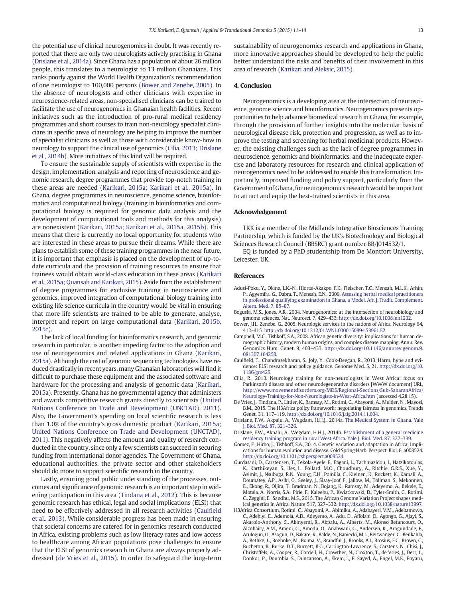<span id="page-3-0"></span>the potential use of clinical neurogenomics in doubt. It was recently reported that there are only two neurologists actively practising in Ghana (Drislane et al., 2014a). Since Ghana has a population of about 26 million people, this translates to a neurologist to 13 million Ghanaians. This ranks poorly against the World Health Organization's recommendation of one neurologist to 100,000 persons (Bower and Zenebe, 2005). In the absence of neurologists and other clinicians with expertise in neuroscience-related areas, non-specialised clinicians can be trained to facilitate the use of neurogenomics in Ghanaian health facilities. Recent initiatives such as the introduction of pro-rural medical residency programmes and short courses to train non-neurology specialist clinicians in specific areas of neurology are helping to improve the number of specialist clinicians as well as those with considerable know-how in neurology to support the clinical use of genomics (Cilia, 2013; Drislane et al., 2014b). More initiatives of this kind will be required.

To ensure the sustainable supply of scientists with expertise in the design, implementation, analysis and reporting of neuroscience and genomic research, degree programmes that provide top-notch training in these areas are needed [\(Karikari, 2015a; Karikari et al., 2015a\)](#page-4-0). In Ghana, degree programmes in neuroscience, genome science, bioinformatics and computational biology (training in bioinformatics and computational biology is required for genomic data analysis and the development of computational tools and methods for this analysis) are nonexistent [\(Karikari, 2015a; Karikari et al., 2015a, 2015b\)](#page-4-0). This means that there is currently no local opportunity for students who are interested in these areas to pursue their dreams. While there are plans to establish some of these training programmes in the near future, it is important that emphasis is placed on the development of up-todate curricula and the provision of training resources to ensure that trainees would obtain world-class education in these areas ([Karikari](#page-4-0) [et al., 2015a; Quansah and Karikari, 2015](#page-4-0)). Aside from the establishment of degree programmes for exclusive training in neuroscience and genomics, improved integration of computational biology training into existing life science curricula in the country would be vital in ensuring that more life scientists are trained to be able to generate, analyse, interpret and report on large computational data ([Karikari, 2015b,](#page-4-0) [2015c\)](#page-4-0).

The lack of local funding for bioinformatics research, and genomic research in particular, is another impeding factor to the adoption and use of neurogenomics and related applications in Ghana ([Karikari,](#page-4-0) [2015a](#page-4-0)). Although the cost of genomic sequencing technologies have reduced drastically in recent years, many Ghanaian laboratories will find it difficult to purchase these equipment and the associated software and hardware for the processing and analysis of genomic data ([Karikari,](#page-4-0) [2015a](#page-4-0)). Presently, Ghana has no governmental agency that administers and awards competitive research grants directly to scientists [\(United](#page-4-0) [Nations Conference on Trade and Development \(UNCTAD\), 2011](#page-4-0)). Also, the Government's spending on local scientific research is less than 1.0% of the country's gross domestic product ([Karikari, 2015a;](#page-4-0) [United Nations Conference on Trade and Development \(UNCTAD\),](#page-4-0) [2011](#page-4-0)). This negatively affects the amount and quality of research conducted in the country, since only a few scientists can succeed in securing funding from international donor agencies. The Government of Ghana, educational authorities, the private sector and other stakeholders should do more to support scientific research in the country.

Lastly, ensuring good public understanding of the processes, outcomes and significance of genomic research is an important step in widening participation in this area ([Tindana et al., 2012\)](#page-4-0). This is because genomic research has ethical, legal and social implications (ELSI) that need to be effectively addressed in all research activities (Caulfield et al., 2013). While considerable progress has been made in ensuring that societal concerns are catered for in genomics research conducted in Africa, existing problems such as low literacy rates and low access to healthcare among African populations pose challenges to ensure that the ELSI of genomics research in Ghana are always properly addressed (de Vries et al., 2015). In order to safeguard the long-term sustainability of neurogenomics research and applications in Ghana, more innovative approaches should be developed to help the public better understand the risks and benefits of their involvement in this area of research [\(Karikari and Aleksic, 2015](#page-4-0)).

### 4. Conclusion

Neurogenomics is a developing area at the intersection of neuroscience, genome science and bioinformatics. Neurogenomics presents opportunities to help advance biomedical research in Ghana, for example, through the provision of further insights into the molecular basis of neurological disease risk, protection and progression, as well as to improve the testing and screening for herbal medicinal products. However, the existing challenges such as the lack of degree programmes in neuroscience, genomics and bioinformatics, and the inadequate expertise and laboratory resources for research and clinical application of neurogenomics need to be addressed to enable this transformation. Importantly, improved funding and policy support, particularly from the Government of Ghana, for neurogenomics research would be important to attract and equip the best-trained scientists in this area.

### Acknowledgement

TKK is a member of the Midlands Integrative Biosciences Training Partnership, which is funded by the UK's Biotechnology and Biological Sciences Research Council (BBSRC) grant number BB/J014532/1.

EQ is funded by a PhD studentship from De Montfort University, Leicester, UK.

### References

- Adusi-Poku, Y., Okine, L.K.-N., Hlortsi-Akakpo, F.K., Fleischer, T.C., Mensah, M.L.K., Arhin, P., Agyemfra, G., Dabra, T., Mensah, E.N., 2009. [Assessing herbal medical practitioners](http://refhub.elsevier.com/S2212-0661(15)30022-3/rf0005) [in professional qualifying examination in Ghana, a Model. Afr. J. Tradit. Complement.](http://refhub.elsevier.com/S2212-0661(15)30022-3/rf0005) [Altern. Med. 7, 85](http://refhub.elsevier.com/S2212-0661(15)30022-3/rf0005)–87.
- Boguski, M.S., Jones, A.R., 2004. Neurogenomics: at the intersection of neurobiology and genome sciences. Nat. Neurosci. 7, 429–433. http://dx.doi.org/[10.1038/nn1232](http://dx.doi.org/10.1038/nn1232).
- Bower, J.H., Zenebe, G., 2005. Neurologic services in the nations of Africa. Neurology 64, 412–415. http://dx.doi.org[/10.1212/01.WNL.0000150894.53961.E2](http://dx.doi.org/10.1212/01.WNL.0000150894.53961.E2).
- Campbell, M.C., Tishkoff, S.A., 2008. African genetic diversity: implications for human demographic history, modern human origins, and complex disease mapping. Annu. Rev. Genomics Hum. Genet. 9, 403–433. http://dx.doi.org/10.1146/annurev.genom.9. 081307.164258.
- Caulfield, T., Chandrasekharan, S., Joly, Y., Cook-Deegan, R., 2013. Harm, hype and evidence: ELSI research and policy guidance. Genome Med. 5, 21. http://dx.doi.org/10. 1186/gm425.
- Cilia, R., 2013. Neurology training for non-neurologists in West Africa: focus on Parkinson's disease and other neurodegenerative disorders [WWW document] URL, [http://www.movementdisorders.org/MDS/Regional-Sections/Sub-SaharanAfrica/](http://creativecommons.org/licenses/by-nc-nd/4.0/) [Neurology-Training-for-Non-Neurologists-in-West-Africa.htm](http://creativecommons.org/licenses/by-nc-nd/4.0/) (accessed 4.28.15).
- De Vries, J., Tindana, P., Littler, K., Ramsay, M., Rotimi, C., Abayomi, A., Mulder, N., Mayosi, B.M., 2015. The H3Africa policy framework: negotiating fairness in genomics. Trends Genet. 31, 117–119. http://dx.doi.org/[10.1016/j.tig.2014.11.004](http://dx.doi.org/10.1016/j.tig.2014.11.004).
- Drislane, F.W., Akpalu, A., Wegdam, H.H.J., 2014a. [The Medical System in Ghana. Yale](http://refhub.elsevier.com/S2212-0661(15)30022-3/rf0040) [J. Biol. Med. 87, 321](http://refhub.elsevier.com/S2212-0661(15)30022-3/rf0040)–326.
- Drislane, F.W., Akpalu, A., Wegdam, H.H.J., 2014b. [Establishment of a general medicine](http://refhub.elsevier.com/S2212-0661(15)30022-3/rf0045) [residency training program in rural West Africa. Yale J. Biol. Med. 87, 327](http://refhub.elsevier.com/S2212-0661(15)30022-3/rf0045)–339.
- Gomez, F., Hirbo, J., Tishkoff, S.A., 2014. Genetic variation and adaptation in Africa: Implications for human evolution and disease. Cold Spring Harb. Perspect. Biol. 6, a008524. http://dx.doi.org[/10.1101/cshperspect.a008524](http://dx.doi.org/10.1101/cshperspect.a008524).
- Gurdasani, D., Carstensen, T., Tekola-Ayele, F., Pagani, L., Tachmazidou, I., Hatzikotoulas, K., Karthikeyan, S., Iles, L., Pollard, M.O., Choudhury, A., Ritchie, G.R.S., Xue, Y., Asimit, J., Nsubuga, R.N., Young, E.H., Pomilla, C., Kivinen, K., Rockett, K., Kamali, A., Doumatey, A.P., Asiki, G., Seeley, J., Sisay-Joof, F., Jallow, M., Tollman, S., Mekonnen, E., Ekong, R., Oljira, T., Bradman, N., Bojang, K., Ramsay, M., Adeyemo, A., Bekele, E., Motala, A., Norris, S.A., Pirie, F., Kaleebu, P., Kwiatkowski, D., Tyler-Smith, C., Rotimi, C., Zeggini, E., Sandhu, M.S., 2015. The African Genome Variation Project shapes medical genetics in Africa. Nature 517, 327–332. http://dx.doi.org[/10.1038/nature13997](http://dx.doi.org/10.1038/nature13997).
- H3Africa Consortium, Rotimi, C., Abayomi, A., Abimiku, A., Adabayeri, V.M., Adebamowo, C., Adebiyi, E., Ademola, A.D., Adeyemo, A., Adu, D., Affolabi, D., Agongo, G., Ajayi, S., Akarolo-Anthony, S., Akinyemi, R., Akpalu, A., Alberts, M., Alonso Betancourt, O., Alzohairy, A.M., Ameni, G., Amodu, O., Anabwani, G., Andersen, K., Arogundade, F., Arulogun, O., Asogun, D., Bakare, R., Balde, N., Baniecki, M.L., Beiswanger, C., Benkahla, A., Bethke, L., Boehnke, M., Boima, V., Brandful, J., Brooks, A.I., Brosius, F.C., Brown, C., Bucheton, B., Burke, D.T., Burnett, B.G., Carrington-Lawrence, S., Carstens, N., Chisi, J., Christoffels, A., Cooper, R., Cordell, H., Crowther, N., Croxton, T., de Vries, J., Derr, L., Donkor, P., Doumbia, S., Duncanson, A., Ekem, I., El Sayed, A., Engel, M.E., Enyaru,